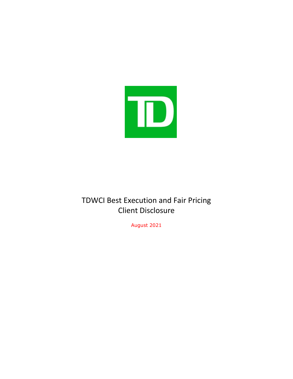

# TDWCI Best Execution and Fair Pricing Client Disclosure

August 2021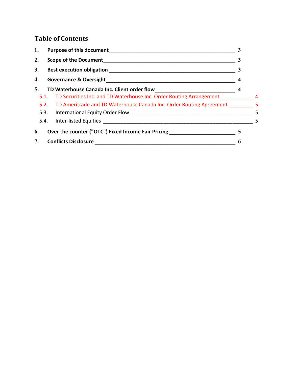# **Table of Contents**

| 1. | <b>Purpose of this document</b>                                                           |                       |                 |
|----|-------------------------------------------------------------------------------------------|-----------------------|-----------------|
| 2. | <b>Scope of the Document</b>                                                              | 3                     |                 |
| 3. | <b>Best execution obligation</b>                                                          |                       |                 |
| 4. |                                                                                           |                       |                 |
| 5. | TD Waterhouse Canada Inc. Client order flow                                               | $\boldsymbol{4}$      |                 |
|    | 5.1. TD Securities Inc. and TD Waterhouse Inc. Order Routing Arrangement ______________ 4 |                       |                 |
|    | 5.2. TD Ameritrade and TD Waterhouse Canada Inc. Order Routing Agreement 5                |                       |                 |
|    |                                                                                           |                       | $5\overline{5}$ |
|    |                                                                                           |                       | $-5$            |
| 6. | Over the counter ("OTC") Fixed Income Fair Pricing                                        | 5                     |                 |
| 7. | <b>Conflicts Disclosure</b>                                                               | $\boldsymbol{\theta}$ |                 |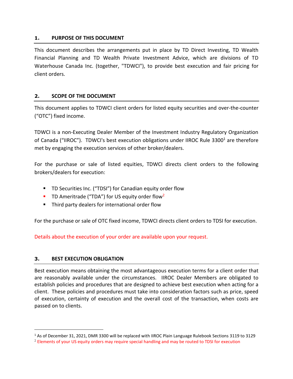#### <span id="page-2-0"></span>**1. PURPOSE OF THIS DOCUMENT**

This document describes the arrangements put in place by TD Direct Investing, TD Wealth Financial Planning and TD Wealth Private Investment Advice, which are divisions of TD Waterhouse Canada Inc. (together, "TDWCI"), to provide best execution and fair pricing for client orders.

#### <span id="page-2-1"></span>**2. SCOPE OF THE DOCUMENT**

This document applies to TDWCI client orders for listed equity securities and over-the-counter ("OTC") fixed income.

TDWCI is a non-Executing Dealer Member of the Investment Industry Regulatory Organization of Canada ("IIROC"). TDWCI's best execution obligations under IIROC Rule 3300<sup>1</sup> are therefore met by engaging the execution services of other broker/dealers.

For the purchase or sale of listed equities, TDWCI directs client orders to the following brokers/dealers for execution:

- TD Securities Inc. ("TDSI") for Canadian equity order flow
- **•** TD Ameritrade ("TDA") for US equity order flow<sup>2</sup>
- Third party dealers for international order flow

For the purchase or sale of OTC fixed income, TDWCI directs client orders to TDSI for execution.

Details about the execution of your order are available upon your request.

#### <span id="page-2-2"></span>**3. BEST EXECUTION OBLIGATION**

Best execution means obtaining the most advantageous execution terms for a client order that are reasonably available under the circumstances. IIROC Dealer Members are obligated to establish policies and procedures that are designed to achieve best execution when acting for a client. These policies and procedures must take into consideration factors such as price, speed of execution, certainty of execution and the overall cost of the transaction, when costs are passed on to clients.

<sup>&</sup>lt;sup>1</sup> As of December 31, 2021, DMR 3300 will be replaced with IIROC Plain Language Rulebook Sections 3119 to 3129

<sup>&</sup>lt;sup>2</sup> Elements of your US equity orders may require special handling and may be routed to TDSI for execution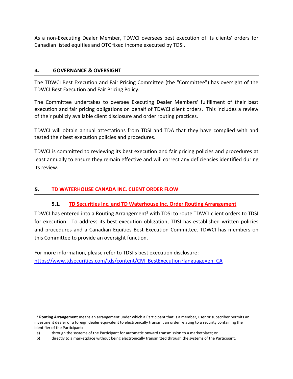As a non-Executing Dealer Member, TDWCI oversees best execution of its clients' orders for Canadian listed equities and OTC fixed income executed by TDSI.

#### <span id="page-3-0"></span>**4. GOVERNANCE & OVERSIGHT**

The TDWCI Best Execution and Fair Pricing Committee (the "Committee") has oversight of the TDWCI Best Execution and Fair Pricing Policy.

The Committee undertakes to oversee Executing Dealer Members' fulfillment of their best execution and fair pricing obligations on behalf of TDWCI client orders. This includes a review of their publicly available client disclosure and order routing practices.

TDWCI will obtain annual attestations from TDSI and TDA that they have complied with and tested their best execution policies and procedures.

TDWCI is committed to reviewing its best execution and fair pricing policies and procedures at least annually to ensure they remain effective and will correct any deficiencies identified during its review.

#### <span id="page-3-2"></span><span id="page-3-1"></span>**5. TD WATERHOUSE CANADA INC. CLIENT ORDER FLOW**

#### **5.1. TD Securities Inc. and TD Waterhouse Inc. Order Routing Arrangement**

TDWCI has entered into a Routing Arrangement<sup>3</sup> with TDSI to route TDWCI client orders to TDSI for execution. To address its best execution obligation, TDSI has established written policies and procedures and a Canadian Equities Best Execution Committee. TDWCI has members on this Committee to provide an oversight function.

For more information, please refer to TDSI's best execution disclosure: [https://www.tdsecurities.com/tds/content/CM\\_BestExecution?language=en\\_CA](https://www.tdsecurities.com/tds/content/CM_BestExecution?language=en_CA)

<sup>3</sup> **Routing Arrangement** means an arrangement under which a Participant that is a member, user or subscriber permits an investment dealer or a foreign dealer equivalent to electronically transmit an order relating to a security containing the identifier of the Participant:

a) through the systems of the Participant for automatic onward transmission to a marketplace; or

b) directly to a marketplace without being electronically transmitted through the systems of the Participant.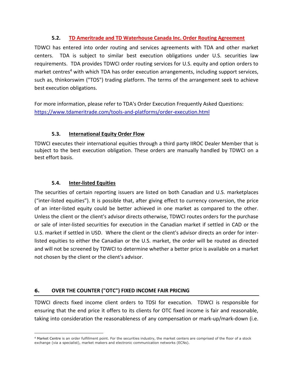# **5.2. TD Ameritrade and TD Waterhouse Canada Inc. Order Routing Agreement**

<span id="page-4-0"></span>TDWCI has entered into order routing and services agreements with TDA and other market centers. TDA is subject to similar best execution obligations under U.S. securities law requirements. TDA provides TDWCI order routing services for U.S. equity and option orders to market centres<sup>4</sup> with which TDA has order execution arrangements, including support services, such as, thinkorswim ("TOS") trading platform. The terms of the arrangement seek to achieve best execution obligations.

For more information, please refer to TDA's Order Execution Frequently Asked Questions: <https://www.tdameritrade.com/tools-and-platforms/order-execution.html>

# **5.3. International Equity Order Flow**

<span id="page-4-1"></span>TDWCI executes their international equities through a third party IIROC Dealer Member that is subject to the best execution obligation. These orders are manually handled by TDWCI on a best effort basis.

# **5.4. Inter-listed Equities**

<span id="page-4-2"></span>The securities of certain reporting issuers are listed on both Canadian and U.S. marketplaces ("inter-listed equities"). It is possible that, after giving effect to currency conversion, the price of an inter-listed equity could be better achieved in one market as compared to the other. Unless the client or the client's advisor directs otherwise, TDWCI routes orders for the purchase or sale of inter-listed securities for execution in the Canadian market if settled in CAD or the U.S. market if settled in USD. Where the client or the client's advisor directs an order for interlisted equities to either the Canadian or the U.S. market, the order will be routed as directed and will not be screened by TDWCI to determine whether a better price is available on a market not chosen by the client or the client's advisor.

# <span id="page-4-3"></span>**6. OVER THE COUNTER ("OTC") FIXED INCOME FAIR PRICING**

TDWCI directs fixed income client orders to TDSI for execution. TDWCI is responsible for ensuring that the end price it offers to its clients for OTC fixed income is fair and reasonable, taking into consideration the reasonableness of any compensation or mark-up/mark-down (i.e.

<sup>4</sup> Market Centre is an order fulfillment point. For the securities industry, the market centers are comprised of the floor of a stock exchange (via a specialist), market makers and electronic communication networks (ECNs).